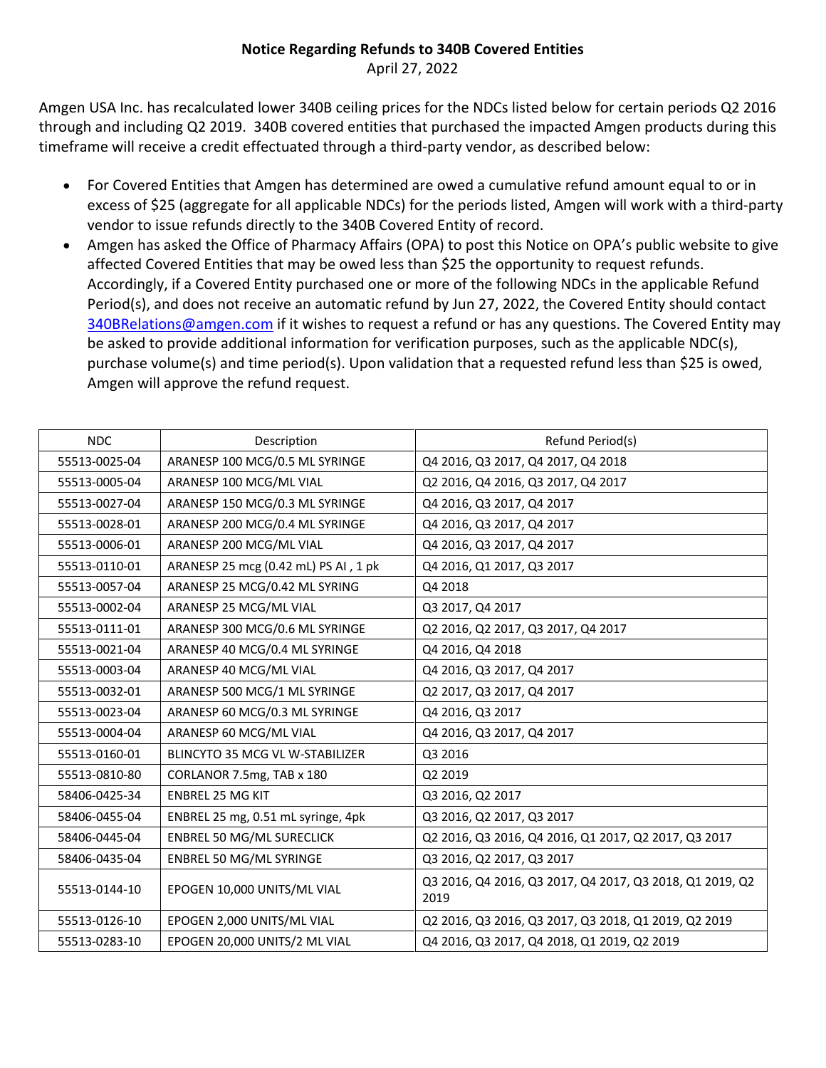## **Notice Regarding Refunds to 340B Covered Entities**

April 27, 2022

Amgen USA Inc. has recalculated lower 340B ceiling prices for the NDCs listed below for certain periods Q2 2016 through and including Q2 2019. 340B covered entities that purchased the impacted Amgen products during this timeframe will receive a credit effectuated through a third-party vendor, as described below:

- For Covered Entities that Amgen has determined are owed a cumulative refund amount equal to or in excess of \$25 (aggregate for all applicable NDCs) for the periods listed, Amgen will work with a third-party vendor to issue refunds directly to the 340B Covered Entity of record.
- Amgen has asked the Office of Pharmacy Affairs (OPA) to post this Notice on OPA's public website to give affected Covered Entities that may be owed less than \$25 the opportunity to request refunds. Accordingly, if a Covered Entity purchased one or more of the following NDCs in the applicable Refund Period(s), and does not receive an automatic refund by Jun 27, 2022, the Covered Entity should contact [340BRelations@amgen.com](mailto:340BRelations@amgen.com) if it wishes to request a refund or has any questions. The Covered Entity may be asked to provide additional information for verification purposes, such as the applicable NDC(s), purchase volume(s) and time period(s). Upon validation that a requested refund less than \$25 is owed, Amgen will approve the refund request.

| <b>NDC</b>    | Description                            | Refund Period(s)                                                 |
|---------------|----------------------------------------|------------------------------------------------------------------|
| 55513-0025-04 | ARANESP 100 MCG/0.5 ML SYRINGE         | Q4 2016, Q3 2017, Q4 2017, Q4 2018                               |
| 55513-0005-04 | ARANESP 100 MCG/ML VIAL                | Q2 2016, Q4 2016, Q3 2017, Q4 2017                               |
| 55513-0027-04 | ARANESP 150 MCG/0.3 ML SYRINGE         | Q4 2016, Q3 2017, Q4 2017                                        |
| 55513-0028-01 | ARANESP 200 MCG/0.4 ML SYRINGE         | Q4 2016, Q3 2017, Q4 2017                                        |
| 55513-0006-01 | ARANESP 200 MCG/ML VIAL                | Q4 2016, Q3 2017, Q4 2017                                        |
| 55513-0110-01 | ARANESP 25 mcg (0.42 mL) PS AI, 1 pk   | Q4 2016, Q1 2017, Q3 2017                                        |
| 55513-0057-04 | ARANESP 25 MCG/0.42 ML SYRING          | Q4 2018                                                          |
| 55513-0002-04 | ARANESP 25 MCG/ML VIAL                 | Q3 2017, Q4 2017                                                 |
| 55513-0111-01 | ARANESP 300 MCG/0.6 ML SYRINGE         | Q2 2016, Q2 2017, Q3 2017, Q4 2017                               |
| 55513-0021-04 | ARANESP 40 MCG/0.4 ML SYRINGE          | Q4 2016, Q4 2018                                                 |
| 55513-0003-04 | ARANESP 40 MCG/ML VIAL                 | Q4 2016, Q3 2017, Q4 2017                                        |
| 55513-0032-01 | ARANESP 500 MCG/1 ML SYRINGE           | Q2 2017, Q3 2017, Q4 2017                                        |
| 55513-0023-04 | ARANESP 60 MCG/0.3 ML SYRINGE          | Q4 2016, Q3 2017                                                 |
| 55513-0004-04 | ARANESP 60 MCG/ML VIAL                 | Q4 2016, Q3 2017, Q4 2017                                        |
| 55513-0160-01 | <b>BLINCYTO 35 MCG VL W-STABILIZER</b> | Q3 2016                                                          |
| 55513-0810-80 | CORLANOR 7.5mg, TAB x 180              | Q2 2019                                                          |
| 58406-0425-34 | <b>ENBREL 25 MG KIT</b>                | Q3 2016, Q2 2017                                                 |
| 58406-0455-04 | ENBREL 25 mg, 0.51 mL syringe, 4pk     | Q3 2016, Q2 2017, Q3 2017                                        |
| 58406-0445-04 | <b>ENBREL 50 MG/ML SURECLICK</b>       | Q2 2016, Q3 2016, Q4 2016, Q1 2017, Q2 2017, Q3 2017             |
| 58406-0435-04 | ENBREL 50 MG/ML SYRINGE                | Q3 2016, Q2 2017, Q3 2017                                        |
| 55513-0144-10 | EPOGEN 10,000 UNITS/ML VIAL            | Q3 2016, Q4 2016, Q3 2017, Q4 2017, Q3 2018, Q1 2019, Q2<br>2019 |
| 55513-0126-10 | EPOGEN 2,000 UNITS/ML VIAL             | Q2 2016, Q3 2016, Q3 2017, Q3 2018, Q1 2019, Q2 2019             |
| 55513-0283-10 | EPOGEN 20,000 UNITS/2 ML VIAL          | Q4 2016, Q3 2017, Q4 2018, Q1 2019, Q2 2019                      |